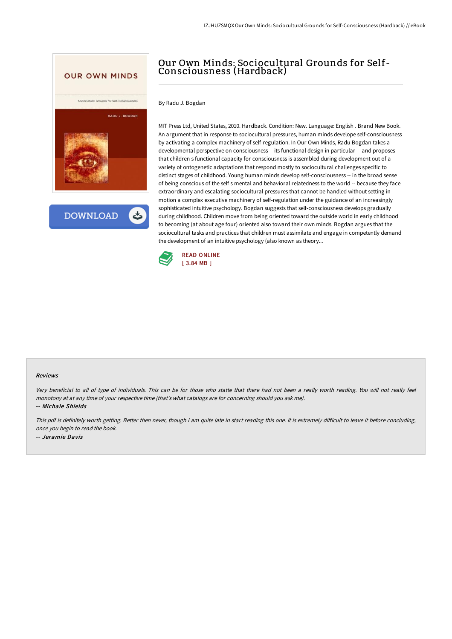

**DOWNLOAD** 

## Our Own Minds: Sociocultural Grounds for Self-Consciousness (Hardback)

By Radu J. Bogdan

MIT Press Ltd, United States, 2010. Hardback. Condition: New. Language: English . Brand New Book. An argument that in response to sociocultural pressures, human minds develope self-consciousness by activating a complex machinery of self-regulation. In Our Own Minds, Radu Bogdan takes a developmental perspective on consciousness -- its functional design in particular -- and proposes that children s functional capacity for consciousness is assembled during development out of a variety of ontogenetic adaptations that respond mostly to sociocultural challenges specific to distinct stages of childhood. Young human minds develop self-consciousness -- in the broad sense of being conscious of the self s mental and behavioral relatedness to the world -- because they face extraordinary and escalating sociocultural pressures that cannot be handled without setting in motion a complex executive machinery of self-regulation under the guidance of an increasingly sophisticated intuitive psychology. Bogdan suggests that self-consciousness develops gradually during childhood. Children move from being oriented toward the outside world in early childhood to becoming (at about age four) oriented also toward their own minds. Bogdan argues that the sociocultural tasks and practices that children must assimilate and engage in competently demand the development of an intuitive psychology (also known as theory...



## Reviews

Very beneficial to all of type of individuals. This can be for those who statte that there had not been <sup>a</sup> really worth reading. You will not really feel monotony at at any time of your respective time (that's what catalogs are for concerning should you ask me). -- Michale Shields

This pdf is definitely worth getting. Better then never, though i am quite late in start reading this one. It is extremely difficult to leave it before concluding, once you begin to read the book. -- Jeramie Davis